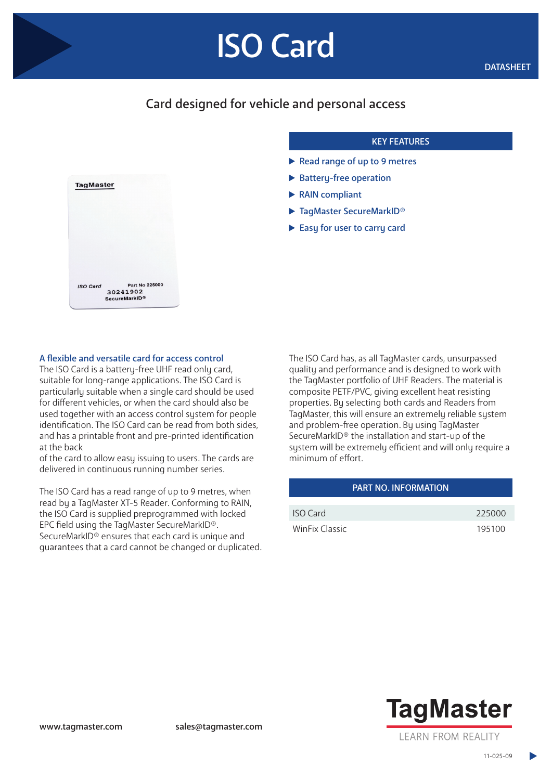# ISO Card

## Card designed for vehicle and personal access

#### KEY FEATURES

- Read range of up to 9 metres
- $\blacktriangleright$  Battery-free operation
- ▶ RAIN compliant
- ▶ TagMaster SecureMarkID®
- Easy for user to carry card



#### A flexible and versatile card for access control

The ISO Card is a battery-free UHF read only card. suitable for long-range applications. The ISO Card is particularly suitable when a single card should be used for different vehicles, or when the card should also be used together with an access control system for people identification. The ISO Card can be read from both sides, and has a printable front and pre-printed identification at the back

of the card to allow easy issuing to users. The cards are delivered in continuous running number series.

The ISO Card has a read range of up to 9 metres, when read by a TagMaster XT-5 Reader. Conforming to RAIN, the ISO Card is supplied preprogrammed with locked EPC field using the TagMaster SecureMarkID®. SecureMarkID® ensures that each card is unique and guarantees that a card cannot be changed or duplicated. The ISO Card has, as all TagMaster cards, unsurpassed quality and performance and is designed to work with the TagMaster portfolio of UHF Readers. The material is composite PETF/PVC, giving excellent heat resisting properties. By selecting both cards and Readers from TagMaster, this will ensure an extremely reliable system and problem-free operation. By using TagMaster SecureMarkID® the installation and start-up of the system will be extremely efficient and will only require a minimum of effort.

| <b>PART NO. INFORMATION</b> |        |
|-----------------------------|--------|
|                             |        |
| ISO Card                    | 225000 |
| WinFix Classic              | 195100 |